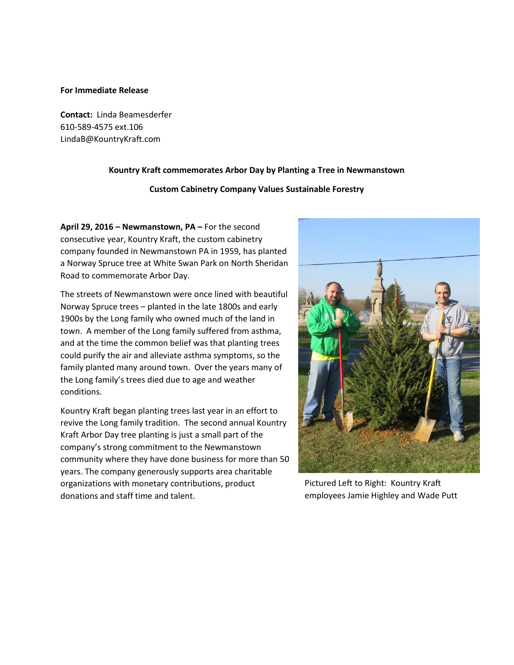## **For Immediate Release**

**Contact:** Linda Beamesderfer 610-589-4575 ext.106 LindaB@KountryKraft.com

## **Kountry Kraft commemorates Arbor Day by Planting a Tree in Newmanstown**

## **Custom Cabinetry Company Values Sustainable Forestry**

**April 29, 2016 – Newmanstown, PA –** For the second consecutive year, Kountry Kraft, the custom cabinetry company founded in Newmanstown PA in 1959, has planted a Norway Spruce tree at White Swan Park on North Sheridan Road to commemorate Arbor Day.

The streets of Newmanstown were once lined with beautiful Norway Spruce trees – planted in the late 1800s and early 1900s by the Long family who owned much of the land in town. A member of the Long family suffered from asthma, and at the time the common belief was that planting trees could purify the air and alleviate asthma symptoms, so the family planted many around town. Over the years many of the Long family's trees died due to age and weather conditions.

Kountry Kraft began planting trees last year in an effort to revive the Long family tradition. The second annual Kountry Kraft Arbor Day tree planting is just a small part of the company's strong commitment to the Newmanstown community where they have done business for more than 50 years. The company generously supports area charitable organizations with monetary contributions, product donations and staff time and talent.



Pictured Left to Right: Kountry Kraft employees Jamie Highley and Wade Putt